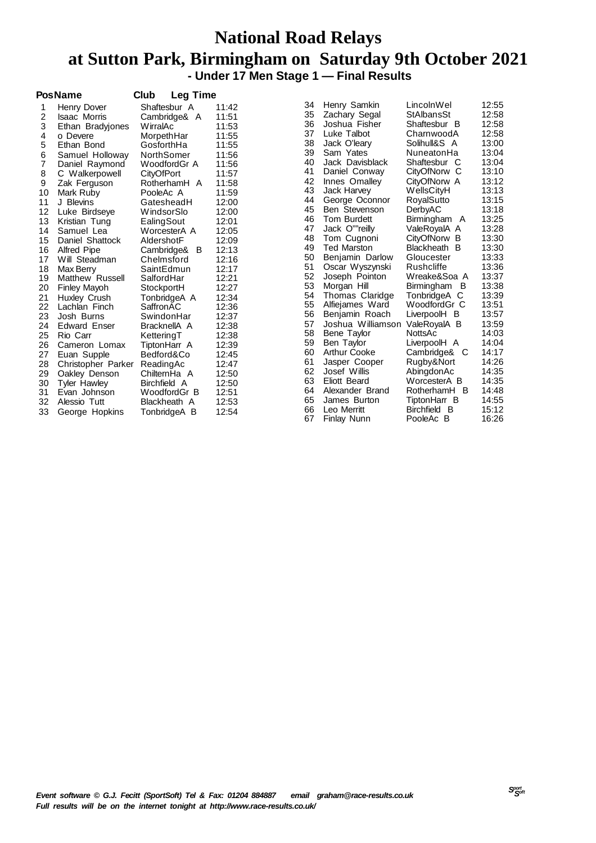### **National Road Relays at Sutton Park, Birmingham on Saturday 9th October 2021 - Under 17 Men Stage 1 — Final Results**

|                | <b>PosName</b>      | Club<br><b>Leg Time</b> |       |    |                     |                   |       |
|----------------|---------------------|-------------------------|-------|----|---------------------|-------------------|-------|
| 1              | Henry Dover         | Shaftesbur A            | 11:42 | 34 | Henry Samkin        | LincolnWel        | 12:55 |
| 2              | <b>Isaac Morris</b> | Cambridge& A            | 11:51 | 35 | Zachary Segal       | StAlbansSt        | 12:58 |
| 3              | Ethan Bradyjones    | WirralAc                | 11:53 | 36 | Joshua Fisher       | Shaftesbur B      | 12:58 |
| 4              | o Devere            | MorpethHar              | 11:55 | 37 | Luke Talbot         | CharnwoodA        | 12:58 |
| 5              | Ethan Bond          | GosforthHa              | 11:55 | 38 | Jack O'leary        | Solihull&S A      | 13:00 |
| 6              | Samuel Holloway     | NorthSomer              | 11:56 | 39 | Sam Yates           | NuneatonHa        | 13:04 |
| $\overline{7}$ | Daniel Raymond      | WoodfordGr A            | 11:56 | 40 | Jack Davisblack     | Shaftesbur C      | 13:04 |
| 8              | C Walkerpowell      | CityOfPort              | 11:57 | 41 | Daniel Conway       | CityOfNorw<br>-C  | 13:10 |
| 9              | Zak Ferguson        | RotherhamH A            | 11:58 | 42 | Innes Omalley       | CityOfNorw A      | 13:12 |
| 10             | Mark Ruby           | PooleAc A               | 11:59 | 43 | <b>Jack Harvey</b>  | <b>WellsCityH</b> | 13:13 |
| 11             | J Blevins           | GatesheadH              | 12:00 | 44 | George Oconnor      | RoyalSutto        | 13:15 |
| 12             | Luke Birdseye       | WindsorSlo              | 12:00 | 45 | Ben Stevenson       | DerbyAC           | 13:18 |
| 13             | Kristian Tung       | EalingSout              | 12:01 | 46 | Tom Burdett         | Birmingham A      | 13:25 |
| 14             | Samuel Lea          | WorcesterA A            | 12:05 | 47 | Jack O""reilly      | ValeRoyalA A      | 13:28 |
| 15             | Daniel Shattock     | AldershotF              | 12:09 | 48 | Tom Cugnoni         | CityOfNorw B      | 13:30 |
| 16             | <b>Alfred Pipe</b>  | Cambridge&<br>- B       | 12:13 | 49 | <b>Ted Marston</b>  | Blackheath B      | 13:30 |
| 17             | Will Steadman       | Chelmsford              | 12:16 | 50 | Benjamin Darlow     | Gloucester        | 13:33 |
| 18             | Max Berry           | SaintEdmun              | 12:17 | 51 | Oscar Wyszynski     | Rushcliffe        | 13:36 |
| 19             | Matthew Russell     | SalfordHar              | 12:21 | 52 | Joseph Pointon      | Wreake&Soa A      | 13:37 |
| 20             | <b>Finley Mayoh</b> | StockportH              | 12:27 | 53 | Morgan Hill         | Birmingham B      | 13:38 |
| 21             | Huxley Crush        | TonbridgeA A            | 12:34 | 54 | Thomas Claridge     | TonbridgeA C      | 13:39 |
| 22             | Lachlan Finch       | SaffronAC               | 12:36 | 55 | Alfiejames Ward     | WoodfordGr C      | 13:51 |
| 23             | Josh Burns          | SwindonHar              | 12:37 | 56 | Benjamin Roach      | LiverpoolH B      | 13:57 |
| 24             | <b>Edward Enser</b> | BracknellA A            | 12:38 | 57 | Joshua Williamson   | ValeRoyalA B      | 13:59 |
| 25             | Rio Carr            | KetteringT              | 12:38 | 58 | Bene Taylor         | NottsAc           | 14:03 |
| 26             | Cameron Lomax       | TiptonHarr A            | 12:39 | 59 | Ben Taylor          | LiverpoolH A      | 14:04 |
| 27             | Euan Supple         | Bedford&Co              | 12:45 | 60 | Arthur Cooke        | Cambridge&<br>- C | 14:17 |
| 28             | Christopher Parker  | ReadingAc               | 12:47 | 61 | Jasper Cooper       | Rugby&Nort        | 14:26 |
| 29             | Oakley Denson       | ChilternHa A            | 12:50 | 62 | Josef Willis        | AbingdonAc        | 14:35 |
| 30             | Tyler Hawley        | Birchfield A            | 12:50 | 63 | <b>Eliott Beard</b> | WorcesterA B      | 14:35 |
| 31             | Evan Johnson        | WoodfordGr B            | 12:51 | 64 | Alexander Brand     | RotherhamH B      | 14:48 |
| 32             | Alessio Tutt        | Blackheath A            | 12:53 | 65 | James Burton        | TiptonHarr B      | 14:55 |
| 33             | George Hopkins      | TonbridgeA B            | 12:54 | 66 | Leo Merritt         | Birchfield B      | 15:12 |
|                |                     |                         |       | 67 | Finlay Nunn         | PooleAc B         | 16:26 |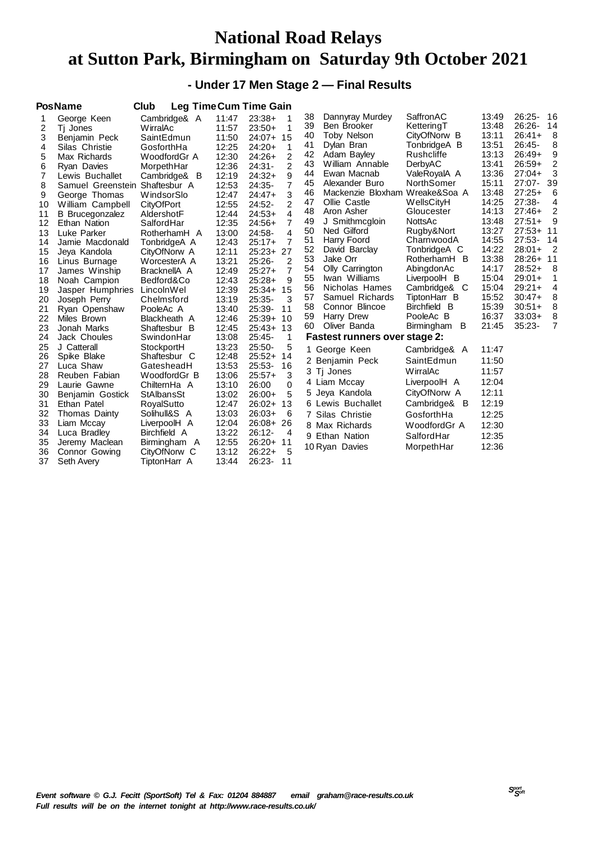## **National Road Relays at Sutton Park, Birmingham on Saturday 9th October 2021**

### **- Under 17 Men Stage 2 — Final Results**

|                | <b>PosName</b>         | Club         |       | <b>Leg TimeCum Time Gain</b> |    |                                      |                   |       |             |                |
|----------------|------------------------|--------------|-------|------------------------------|----|--------------------------------------|-------------------|-------|-------------|----------------|
|                | George Keen            | Cambridge& A | 11:47 | $23:38+$                     | 38 | Dannyray Murdey                      | SaffronAC         | 13:49 | $26:25-$    | -16            |
| 2              | Tj Jones               | WirralAc     | 11:57 | 1<br>$23:50+$                | 39 | Ben Brooker                          | KetteringT        | 13:48 | $26:26-$    | -14            |
| 3              | Benjamin Peck          | SaintEdmun   | 11:50 | 24:07+ 15                    | 40 | <b>Toby Nelson</b>                   | CityOfNorw B      | 13:11 | $26:41+$    | - 8            |
| 4              | Silas Christie         | GosforthHa   | 12:25 | $24:20+$<br>1                | 41 | Dylan Bran                           | TonbridgeA B      | 13:51 | $26:45-$    | 8              |
| 5              | Max Richards           | WoodfordGr A | 12:30 | 2<br>$24:26+$                | 42 | Adam Bayley                          | Rushcliffe        | 13:13 | $26:49+$    | 9              |
| 6              | <b>Ryan Davies</b>     | MorpethHar   | 12:36 | $\overline{2}$<br>$24:31-$   | 43 | William Annable                      | DerbyAC           | 13:41 | $26:59+$    | 2              |
| $\overline{7}$ | Lewis Buchallet        | Cambridge& B | 12:19 | 9<br>$24:32+$                | 44 | Ewan Macnab                          | ValeRoyalA A      | 13:36 | $27:04+$    | 3              |
| 8              | Samuel Greenstein      | Shaftesbur A | 12:53 | $\overline{7}$<br>24:35-     | 45 | Alexander Buro                       | NorthSomer        | 15:11 | $27:07 -$   | 39             |
| 9              | George Thomas          | WindsorSlo   | 12:47 | 3<br>$24:47+$                | 46 | Mackenzie Bloxham Wreake&Soa A       |                   | 13:48 | $27:25+$    | 6              |
| 10             | William Campbell       | CityOfPort   | 12:55 | $\overline{2}$<br>$24:52-$   | 47 | Ollie Castle                         | WellsCityH        | 14:25 | 27:38-      | 4              |
| 11             | <b>B</b> Brucegonzalez | AldershotF   | 12:44 | $\overline{4}$<br>$24:53+$   | 48 | Aron Asher                           | Gloucester        | 14:13 | $27:46+$    | 2              |
| 12             | Ethan Nation           | SalfordHar   | 12:35 | $\overline{7}$<br>$24:56+$   | 49 | J Smithmogloin                       | NottsAc           | 13:48 | $27:51+$    | 9              |
| 13             | Luke Parker            | RotherhamH A | 13:00 | $\overline{4}$<br>24:58-     | 50 | Ned Gilford                          | Rugby&Nort        | 13:27 | $27:53+ 11$ |                |
| 14             | Jamie Macdonald        | TonbridgeA A | 12:43 | $\overline{7}$<br>$25:17+$   | 51 | Harry Foord                          | CharnwoodA        | 14:55 | $27:53-$    | 14             |
| 15             | Jeya Kandola           | CityOfNorw A | 12:11 | 25:23+ 27                    | 52 | David Barclay                        | TonbridgeA C      | 14:22 | $28:01+$    | $\overline{2}$ |
| 16             | Linus Burnage          | WorcesterA A | 13:21 | $25:26-$<br>$\overline{2}$   | 53 | Jake Orr                             | RotherhamH B      | 13:38 | $28:26+$    | 11             |
| 17             | James Winship          | BracknellA A | 12:49 | $\overline{7}$<br>$25:27+$   | 54 | Olly Carrington                      | AbingdonAc        | 14:17 | $28:52+$    | 8              |
| 18             | Noah Campion           | Bedford&Co   | 12:43 | $25:28+$<br>9                | 55 | Iwan Williams                        | LiverpoolH B      | 15:04 | $29:01+$    | 1              |
| 19             | Jasper Humphries       | LincolnWel   | 12:39 | $25:34+$<br>15               | 56 | Nicholas Hames                       | Cambridge&<br>- C | 15:04 | $29:21+$    | 4              |
| 20             | Joseph Perry           | Chelmsford   | 13:19 | 25:35-<br>3                  | 57 | Samuel Richards                      | TiptonHarr B      | 15:52 | $30:47+$    | 8              |
| 21             | Ryan Openshaw          | PooleAc A    | 13:40 | 25:39-<br>11                 | 58 | Connor Blincoe                       | Birchfield B      | 15:39 | $30:51+$    | 8              |
| 22             | Miles Brown            | Blackheath A | 12:46 | $25:39+$<br>10               | 59 | Harry Drew                           | PooleAc B         | 16:37 | $33:03+$    | 8              |
| 23             | Jonah Marks            | Shaftesbur B | 12:45 | $25:43+$<br>13               | 60 | Oliver Banda                         | B<br>Birmingham   | 21:45 | $35:23-$    | $\overline{7}$ |
| 24             | Jack Choules           | SwindonHar   | 13:08 | $25:45-$<br>1                |    | <b>Fastest runners over stage 2:</b> |                   |       |             |                |
| 25             | J Catterall            | StockportH   | 13:23 | 5<br>$25:50-$                |    | 1 George Keen                        | Cambridge& A      | 11:47 |             |                |
| 26             | Spike Blake            | Shaftesbur C | 12:48 | $25:52+$<br>14               |    | 2 Benjamin Peck                      | SaintEdmun        | 11:50 |             |                |
| 27             | Luca Shaw              | GatesheadH   | 13:53 | $25:53-$<br>16               |    |                                      |                   |       |             |                |
| 28             | Reuben Fabian          | WoodfordGr B | 13:06 | 3<br>$25:57+$                |    | 3 Tj Jones                           | WirralAc          | 11:57 |             |                |
| 29             | Laurie Gawne           | ChilternHa A | 13:10 | 26:00<br>0                   |    | 4 Liam Mccay                         | LiverpoolH A      | 12:04 |             |                |
| 30             | Benjamin Gostick       | StAlbansSt   | 13:02 | $26:00+$<br>5                |    | 5 Jeya Kandola                       | CityOfNorw A      | 12:11 |             |                |
| 31             | Ethan Patel            | RoyalSutto   | 12:47 | $26:02+$<br>13               |    | 6 Lewis Buchallet                    | Cambridge& B      | 12:19 |             |                |
| 32             | Thomas Dainty          | Solihull&S A | 13:03 | $26:03+$<br>6                |    | 7 Silas Christie                     | GosforthHa        | 12:25 |             |                |
| 33             | Liam Mccay             | LiverpoolH A | 12:04 | 26<br>$26:08+$               |    | 8 Max Richards                       | WoodfordGr A      | 12:30 |             |                |
| 34             | Luca Bradley           | Birchfield A | 13:22 | $26:12-$<br>4                |    | 9 Ethan Nation                       | SalfordHar        | 12:35 |             |                |
| 35             | Jeremy Maclean         | Birmingham A | 12:55 | $26:20+$<br>11               |    | 10 Ryan Davies                       |                   | 12:36 |             |                |
| 36             | Connor Gowing          | CityOfNorw C | 13:12 | $26:22+$<br>5                |    |                                      | MorpethHar        |       |             |                |
| 37             | Seth Avery             | TiptonHarr A | 13:44 | 26:23-<br>11                 |    |                                      |                   |       |             |                |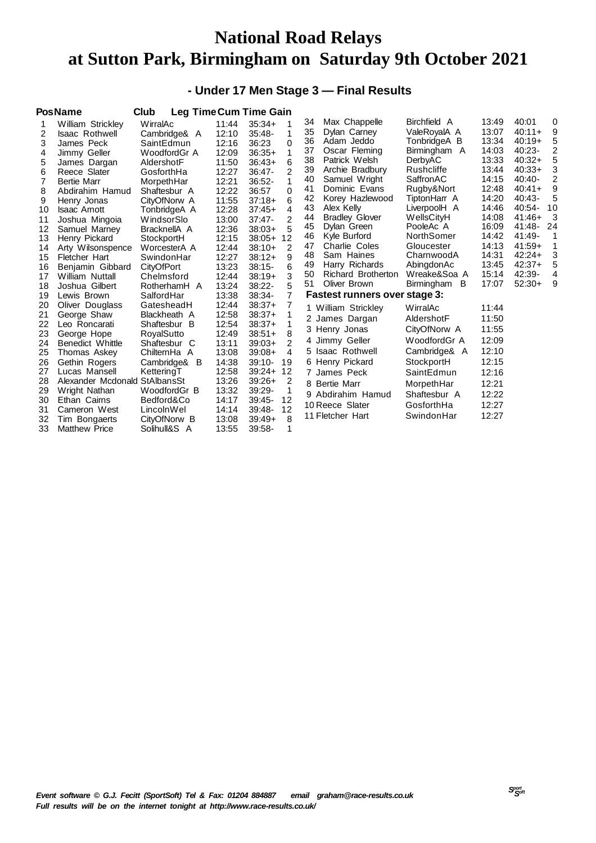## **National Road Relays at Sutton Park, Birmingham on Saturday 9th October 2021**

### **- Under 17 Men Stage 3 — Final Results**

|    | <b>PosName</b>                | Club              |       | <b>Leg Time Cum Time Gain</b> |    |                                      |                 |       |          |          |
|----|-------------------------------|-------------------|-------|-------------------------------|----|--------------------------------------|-----------------|-------|----------|----------|
|    | William Strickley             | WirralAc          | 11:44 | $35:34+$<br>1                 | 34 | Max Chappelle                        | Birchfield A    | 13:49 | 40:01    | $\Omega$ |
| 2  | <b>Isaac Rothwell</b>         | Cambridge& A      | 12:10 | 1<br>$35:48-$                 | 35 | Dylan Carney                         | ValeRoyalA A    | 13:07 | $40:11+$ | 9        |
| 3  | James Peck                    | SaintEdmun        | 12:16 | 36:23<br>0                    | 36 | Adam Jeddo                           | TonbridgeA B    | 13:34 | $40:19+$ | 5        |
| 4  | Jimmy Geller                  | WoodfordGr A      | 12:09 | 1<br>$36:35+$                 | 37 | Oscar Fleming                        | Birmingham A    | 14:03 | $40:23-$ | 2        |
| 5  | James Dargan                  | AldershotF        | 11:50 | 6<br>$36:43+$                 | 38 | Patrick Welsh                        | DerbyAC         | 13:33 | $40:32+$ | 5        |
| 6  | Reece Slater                  | GosforthHa        | 12:27 | 2<br>$36:47-$                 | 39 | Archie Bradbury                      | Rushcliffe      | 13:44 | $40:33+$ | 3        |
| 7  | <b>Bertie Marr</b>            | MorpethHar        | 12:21 | 1<br>$36:52-$                 | 40 | Samuel Wright                        | SaffronAC       | 14:15 | 40:40-   | 2        |
| 8  | Abdirahim Hamud               | Shaftesbur A      | 12:22 | $\Omega$<br>36:57             | 41 | Dominic Evans                        | Rugby&Nort      | 12:48 | $40:41+$ | 9        |
| 9  | Henry Jonas                   | CityOfNorw A      | 11:55 | 6<br>$37:18+$                 | 42 | Korey Hazlewood                      | TiptonHarr A    | 14:20 | $40:43-$ | 5        |
| 10 | <b>Isaac Arnott</b>           | TonbridgeA A      | 12:28 | 4<br>$37:45+$                 | 43 | Alex Kelly                           | LiverpoolH A    | 14:46 | $40:54-$ | 10       |
| 11 | Joshua Mingoia                | WindsorSlo        | 13:00 | 2<br>$37:47-$                 | 44 | <b>Bradley Glover</b>                | WellsCityH      | 14:08 | 41:46+   | 3        |
| 12 | Samuel Marney                 | BracknellA A      | 12:36 | 5<br>$38:03+$                 | 45 | Dylan Green                          | PooleAc A       | 16:09 | 41:48-   | 24       |
| 13 | Henry Pickard                 | StockportH        | 12:15 | 12<br>$38:05+$                | 46 | Kyle Burford                         | NorthSomer      | 14:42 | 41:49-   | 1        |
| 14 | Arty Wilsonspence             | WorcesterA A      | 12:44 | 2<br>$38:10+$                 | 47 | Charlie Coles                        | Gloucester      | 14:13 | $41:59+$ | 1        |
| 15 | Fletcher Hart                 | SwindonHar        | 12:27 | 9<br>$38:12+$                 | 48 | Sam Haines                           | CharnwoodA      | 14:31 | $42:24+$ | 3        |
| 16 | Benjamin Gibbard              | <b>CityOfPort</b> | 13:23 | 6<br>$38:15-$                 | 49 | Harry Richards                       | AbingdonAc      | 13:45 | $42:37+$ | 5        |
| 17 | William Nuttall               | Chelmsford        | 12:44 | 3<br>$38:19+$                 | 50 | Richard Brotherton                   | Wreake&Soa A    | 15:14 | 42:39-   | 4        |
| 18 | Joshua Gilbert                | RotherhamH A      | 13:24 | 5<br>$38:22-$                 | 51 | Oliver Brown                         | Birmingham<br>B | 17:07 | $52:30+$ | 9        |
| 19 | Lewis Brown                   | SalfordHar        | 13:38 | 7<br>38:34-                   |    | <b>Fastest runners over stage 3:</b> |                 |       |          |          |
| 20 | Oliver Douglass               | GatesheadH        | 12:44 | 7<br>$38:37+$                 |    | 1 William Strickley                  | WirralAc        | 11:44 |          |          |
| 21 | George Shaw                   | Blackheath A      | 12:58 | 1<br>$38:37+$                 |    | 2 James Dargan                       | AldershotF      | 11:50 |          |          |
| 22 | Leo Roncarati                 | Shaftesbur B      | 12:54 | 1<br>$38:37+$                 |    | 3 Henry Jonas                        | CityOfNorw A    | 11:55 |          |          |
| 23 | George Hope                   | RoyalSutto        | 12:49 | 8<br>$38:51+$                 |    | 4 Jimmy Geller                       | WoodfordGr A    | 12:09 |          |          |
| 24 | Benedict Whittle              | Shaftesbur C      | 13:11 | 2<br>$39:03+$                 |    |                                      |                 |       |          |          |
| 25 | Thomas Askey                  | ChilternHa A      | 13:08 | 4<br>$39:08+$                 |    | 5 Isaac Rothwell                     | Cambridge& A    | 12:10 |          |          |
| 26 | Gethin Rogers                 | Cambridge& B      | 14:38 | $39:10-$<br>19                |    | 6 Henry Pickard                      | StockportH      | 12:15 |          |          |
| 27 | Lucas Mansell                 | KetteringT        | 12:58 | 12<br>$39:24+$                |    | 7 James Peck                         | SaintEdmun      | 12:16 |          |          |
| 28 | Alexander Mcdonald StAlbansSt |                   | 13:26 | 2<br>$39:26+$                 |    | 8 Bertie Marr                        | MorpethHar      | 12:21 |          |          |
| 29 | Wright Nathan                 | WoodfordGr B      | 13:32 | 39:29-<br>1                   |    | 9 Abdirahim Hamud                    | Shaftesbur A    | 12:22 |          |          |
| 30 | Ethan Cairns                  | Bedford&Co        | 14:17 | 12<br>$39:45-$                |    | 10 Reece Slater                      | GosforthHa      | 12:27 |          |          |
| 31 | Cameron West                  | LincolnWel        | 14:14 | 12<br>39:48-                  |    | 11 Fletcher Hart                     | SwindonHar      | 12:27 |          |          |
| 32 | Tim Bongaerts                 | CityOfNorw B      | 13:08 | 8<br>$39:49+$                 |    |                                      |                 |       |          |          |
| 33 | <b>Matthew Price</b>          | Solihull&S A      | 13:55 | $39:58-$<br>1                 |    |                                      |                 |       |          |          |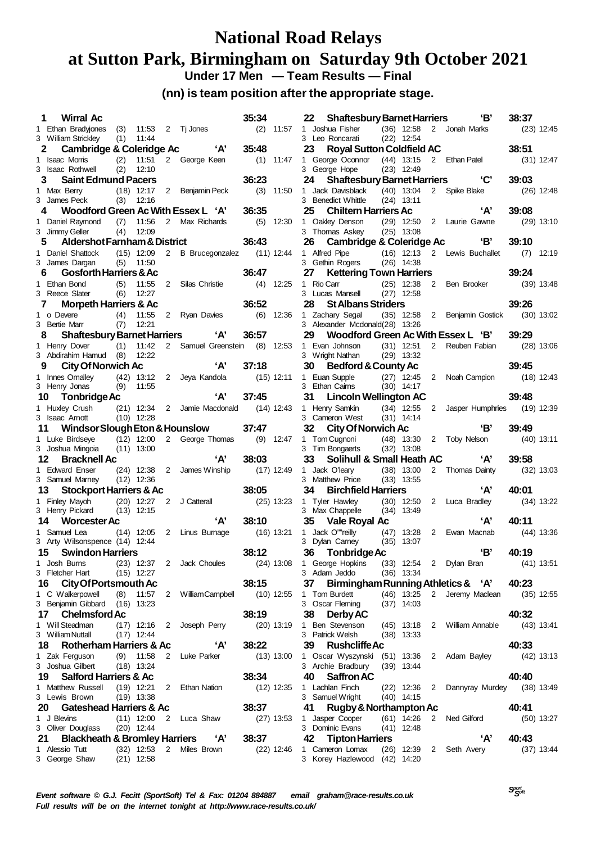### **National Road Relays at Sutton Park, Birmingham on Saturday 9th October 2021 Under 17 Men — Team Results — Final**

#### **(nn) is team position after the appropriate stage.**

|    | 1 Wirral Ac                                                                                                                              |     |                |              |                                         | 35:34        |              |
|----|------------------------------------------------------------------------------------------------------------------------------------------|-----|----------------|--------------|-----------------------------------------|--------------|--------------|
|    | 1 Ethan Bradyjones (3) 11:53 2 Tj Jones<br>3 William Strickley (1) 11:44                                                                 |     |                |              |                                         |              | $(2)$ 11:57  |
|    |                                                                                                                                          |     |                |              |                                         |              |              |
|    | 2 Cambridge & Coleridge Ac 'A'                                                                                                           |     |                |              |                                         | 35:48        |              |
|    | 1 Isaac Morris (2) 11:51 2 George Keen                                                                                                   |     |                |              |                                         | $(1)$ 11:47  |              |
|    | 3 Isaac Rothwell (2) 12:10                                                                                                               |     |                |              |                                         |              |              |
|    | 3 Saint Edmund Pacers                                                                                                                    |     |                |              |                                         | 36:23        |              |
|    |                                                                                                                                          |     |                |              |                                         | (3)          | 11:50        |
|    | 1 Max Berry (18) 12:17 2 Benjamin Peck<br>3 James Peck (3) 12:16                                                                         |     |                |              |                                         |              |              |
|    | 4 Woodford Green Ac With Essex L 'A'                                                                                                     |     |                |              |                                         | 36:35        |              |
|    |                                                                                                                                          |     |                |              |                                         |              | 12:30        |
|    | 1 Daniel Raymond (7) 11:56 2 Max Richards (5)<br>3 Jimmy Geller (4) 12:09                                                                |     |                |              |                                         |              |              |
|    | Aldershot Farnham & District<br>5                                                                                                        |     |                |              |                                         | 36:43        |              |
|    |                                                                                                                                          |     |                |              |                                         |              |              |
|    | 1 Daniel Shattock                                                                                                                        |     |                |              | (15) 12:09 2 B Brucegonzalez (11) 12:44 |              |              |
|    | 3 James Dargan (5) 11:50                                                                                                                 |     |                |              |                                         |              |              |
|    | 6 Gosforth Harriers & Ac                                                                                                                 |     |                |              |                                         | 36:47        |              |
|    | 1 Ethan Bond (5) 11:55<br>3 Reece Slater (6) 12:27                                                                                       |     |                |              | 2 Silas Christie (4) 12:25              |              |              |
|    |                                                                                                                                          |     |                |              |                                         |              |              |
|    | 7 Morpeth Harriers & Ac                                                                                                                  |     |                |              |                                         | 36:52        |              |
|    | 1 o Devere (4) 11:55<br>3 Bertie Marr (7) 12:21                                                                                          |     |                |              | 2 Ryan Davies (6) 12:36                 |              |              |
|    |                                                                                                                                          |     |                |              |                                         |              |              |
|    | 8 Shaftesbury Barnet Harriers 'A'                                                                                                        |     |                |              |                                         | 36:57        |              |
|    | 1 Henry Dover (1) 11:42 2 Samuel Greenstein (8) 12:53                                                                                    |     |                |              |                                         |              |              |
|    | <b>3</b> City Of Norwich Ac<br>1 Innes Omalley (42) 13:12 2 Jeya Kandola (15) 12:11<br>3 Henry Jonas (9) 11:55<br><b>10 Tonbridge Ac</b> |     |                |              |                                         |              |              |
|    |                                                                                                                                          |     |                |              |                                         |              |              |
|    |                                                                                                                                          |     |                |              |                                         |              |              |
|    |                                                                                                                                          |     |                |              |                                         |              |              |
|    | 10 Tonbridge Ac                                                                                                                          |     |                |              | $'A'$ 37:45                             |              |              |
|    |                                                                                                                                          |     |                |              |                                         |              |              |
|    | 1 Huxley Crush (21) 12:34 2 Jamie Macdonald (14) 12:43<br>3 Isaac Arnott (10) 12:28                                                      |     |                |              |                                         |              |              |
|    |                                                                                                                                          |     |                |              |                                         |              |              |
|    | 11 Windsor Slough Eton & Hounslow                                                                                                        |     |                |              |                                         | 37:47        |              |
|    | 1 Luke Birdseye (12) 12:00 2 George Thomas (9) 12:47<br>3 Joshua Mingoia (11) 13:00                                                      |     |                |              |                                         |              |              |
|    |                                                                                                                                          |     |                |              |                                         |              |              |
|    | 12<br><b>Bracknell Ac</b>                                                                                                                |     |                |              | 'A'                                     | 38:03        |              |
|    | 1 Edward Enser (24) 12:38 2 James Winship (17) 12:49                                                                                     |     |                |              |                                         |              |              |
|    | 3 Samuel Marney (12) 12:36                                                                                                               |     |                |              |                                         |              |              |
|    | 13 Stockport Harriers & Ac                                                                                                               |     |                |              |                                         | 38:05        |              |
|    | 1 Finley Mayoh (20) 12:27 2 J Catterall<br>3 Henry Pickard (13) 12:15                                                                    |     |                |              |                                         |              | $(25)$ 13:23 |
|    |                                                                                                                                          |     |                |              |                                         |              |              |
|    | 14 Worcester Ac                                                                                                                          |     |                |              | 'A'                                     | 38:10        |              |
|    | 1 Samuel Lea (14) 12:05 2 Linus Bumage (16) 13:21                                                                                        |     |                |              |                                         |              |              |
|    | 3 Arty Wilsonspence (14) 12:44                                                                                                           |     |                |              |                                         |              |              |
|    | 15 Swindon Harriers                                                                                                                      |     |                |              |                                         | 38:12        |              |
|    | 1 Josh Burns (23) 12:37 2 Jack Choules                                                                                                   |     |                |              |                                         | $(24)$ 13:08 |              |
|    | 3 Fletcher Hart                                                                                                                          |     | $(15)$ 12:27   |              |                                         |              |              |
|    | <b>City Of Portsmouth Ac</b><br>16                                                                                                       |     |                |              |                                         | 38:15        |              |
|    | 1 C Walkerpowell                                                                                                                         |     | 11:57          |              |                                         |              |              |
|    |                                                                                                                                          | (8) |                |              | 2 William Campbell                      |              | $(10)$ 12:55 |
|    | 3 Benjamin Gibbard (16) 13:23                                                                                                            |     |                |              |                                         |              |              |
|    | 17<br><b>Chelmsford Ac</b>                                                                                                               |     |                |              |                                         | 38:19        |              |
|    | 1 Will Steadman                                                                                                                          |     | $(17)$ 12:16   | $\mathbf{2}$ | Joseph Perry                            |              | $(20)$ 13:19 |
|    | 3 William Nuttall                                                                                                                        |     | $(17)$ 12:44   |              |                                         |              |              |
|    | Rotherham Harriers & Ac<br>18                                                                                                            |     |                |              | 'А'                                     | 38:22        |              |
|    | 1 Zak Ferguson                                                                                                                           | (9) | 11:58          |              | 2 Luke Parker                           |              | $(13)$ 13:00 |
|    | 3 Joshua Gilbert                                                                                                                         |     | $(18)$ 13:24   |              |                                         |              |              |
|    | 19<br><b>Salford Harriers &amp; Ac</b>                                                                                                   |     |                |              |                                         | 38:34        |              |
| 1. | Matthew Russell                                                                                                                          |     | $(19)$ 12:21   | $\mathbf{2}$ | Ethan Nation                            |              | $(12)$ 12:35 |
|    | 3 Lewis Brown                                                                                                                            |     | $(19)$ 13:38   |              |                                         |              |              |
|    | <b>Gateshead Harriers &amp; Ac</b><br>20                                                                                                 |     |                |              |                                         | 38:37        |              |
|    | 1 J Blevins                                                                                                                              |     | $(11)$ 12:00   |              | 2 Luca Shaw                             |              | $(27)$ 13:53 |
|    | 3 Oliver Douglass                                                                                                                        |     | $(20)$ 12:44   |              |                                         |              |              |
|    | Blackheath & Bromley Harriers 'A'<br>21                                                                                                  |     |                |              |                                         | 38:37        |              |
| 1  | Alessio Tutt                                                                                                                             |     | $(32)$ 12:53 2 |              | Miles Brown                             |              | $(22)$ 12:46 |
|    | 3 George Shaw                                                                                                                            |     | $(21)$ 12:58   |              |                                         |              |              |
|    |                                                                                                                                          |     |                |              |                                         |              |              |

|          | 22 Shaftesbury Barnet Harriers "B"                                                    |      |              |                |                            | 38:37                 |
|----------|---------------------------------------------------------------------------------------|------|--------------|----------------|----------------------------|-----------------------|
|          | 1 Joshua Fisher (36) 12:58 2 Jonah Marks                                              |      |              |                |                            | $(23)$ 12:45          |
|          | 3 Leo Roncarati (22) 12:54                                                            |      |              |                |                            |                       |
|          | 23 Royal Sutton Coldfield AC                                                          |      |              |                |                            | 38:51                 |
|          | 1 George Oconnor (44) 13:15 2 Ethan Patel                                             |      |              |                |                            | $(31)$ 12:47          |
|          | 3 George Hope                                                                         |      | $(23)$ 12:49 |                |                            |                       |
|          | 24 Shaftesbury Barnet Harriers <sup>'C'</sup>                                         |      |              |                |                            | 39:03                 |
|          |                                                                                       |      |              |                |                            | (26) 12:48            |
|          | 1 Jack Davisblack (40) 13:04 2 Spike Blake<br>3 Benedict Whittle (24) 13:11           |      |              |                |                            |                       |
|          | <b>Chiltern Harriers Ac</b><br>25 —                                                   |      |              |                | 'А'                        | 39:08                 |
|          |                                                                                       |      |              |                |                            | $(29)$ 13:10          |
|          | 1 Oakley Denson (29) 12:50 2 Laurie Gawne<br>3 Thomas Askey (25) 13:08                |      |              |                |                            |                       |
|          | 26 Cambridge & Coleridge Ac 'B'                                                       |      |              |                |                            | 39:10                 |
|          |                                                                                       |      |              |                |                            |                       |
|          | 1 Alfred Pipe (16) 12:13 2 Lewis Buchallet (7) 12:19<br>3 Gethin Rogers (26) 14:38    |      |              |                |                            |                       |
|          | 27 Kettering Town Harriers                                                            |      |              |                |                            | 39:24                 |
|          | 1 Rio Carr (25) 12:38 2 Ben Brooker (39) 13:48                                        |      |              |                |                            |                       |
|          | 3 Lucas Mansell (27) 12:58                                                            |      |              |                |                            |                       |
|          | 28 St Albans Striders                                                                 |      |              |                |                            | 39:26                 |
|          | 1 Zachary Segal (35) 12:58 2 Benjamin Gostick (30) 13:02                              |      |              |                |                            |                       |
|          | 3 Alexander Mcdonald(28) 13:26                                                        |      |              |                |                            |                       |
|          | 29 Woodford Green Ac With Essex L 'B'                                                 |      |              |                |                            | 39:29                 |
|          | 1 Evan Johnson (31) 12:51 2 Reuben Fabian (28) 13:06                                  |      |              |                |                            |                       |
|          | 3 Wright Nathan (29) 13:32                                                            |      |              |                |                            |                       |
|          | 30 Bedford & County Ac                                                                |      |              |                |                            | 39:45                 |
|          |                                                                                       |      |              |                |                            |                       |
|          | 1 Euan Supple (27) 12:45 2 Noah Campion (18) 12:43<br>3 Ethan Cairns (30) 14:17       |      |              |                |                            |                       |
|          | 31 Lincoln Wellington AC                                                              |      |              |                |                            | 39:48                 |
|          | 1 Henry Samkin (34) 12:55 2 Jasper Humphries (19) 12:39                               |      |              |                |                            |                       |
|          | 3 Cameron West (31) 14:14                                                             |      |              |                |                            |                       |
|          | 32 City Of Norwich Ac                                                                 |      |              |                | 'В'                        | 39:49                 |
|          | 1 Tom Cugnoni (48) 13:30 2 Toby Nelson                                                |      |              |                |                            | (40) 13:11            |
|          | 3 Tim Bongaerts (32) 13:08                                                            |      |              |                |                            |                       |
|          | 33 Solihull & Small Heath AC 'A'                                                      |      |              |                |                            | 39:58                 |
|          | 1 Jack O'leary (38) 13:00                                                             |      |              |                | 2 Thomas Dainty            | $(32)$ 13:03          |
|          | 3 Matthew Price (33) 13:55                                                            |      |              |                |                            |                       |
|          | 34 Birchfield Harriers                                                                |      |              |                | 'А'                        | 40:01                 |
|          | 1 Tyler Hawley (30) 12:50 2 Luca Bradley                                              |      |              |                |                            | $(34)$ 13:22          |
|          | 3 Max Chappelle (34) 13:49                                                            |      |              |                |                            |                       |
|          | 35 Vale Royal Ac                                                                      |      |              |                | 'А'                        | 40:11                 |
|          |                                                                                       |      |              |                |                            | $(44)$ 13:36          |
|          | 1 Jack O''''reilly      (47) 13:28   2   Ewan Macnab<br>3 Dylan Carney     (35) 13:07 |      |              |                |                            |                       |
|          | 36 Tonbridge Ac                                                                       |      |              |                | 'В'                        | 40:19                 |
|          | 1 George Hopkins                                                                      |      |              |                |                            |                       |
|          |                                                                                       |      |              |                |                            |                       |
|          | 3 Adam Jeddo                                                                          |      | $(33)$ 12:54 |                | 2 Dylan Bran               | $(41)$ 13:51          |
|          |                                                                                       |      | $(36)$ 13:34 |                |                            |                       |
|          | Birmingham Running Athletics & 'A'<br>37                                              |      |              |                |                            | 40:23                 |
|          | 1 Tom Burdett                                                                         |      | $(46)$ 13:25 | 2              | Jeremy Maclean             | $(35)$ 12:55          |
|          | 3 Oscar Fleming                                                                       |      | $(37)$ 14:03 |                |                            |                       |
|          | <b>Derby AC</b><br>38 -                                                               |      |              |                |                            | 40:32                 |
|          | 1 Ben Stevenson                                                                       | (45) | 13:18        | $\mathbf{2}$   | William Annable            | $(43)$ 13:41          |
|          | 3 Patrick Welsh                                                                       |      | $(38)$ 13:33 |                |                            |                       |
|          | 39 Rushcliffe Ac                                                                      |      |              |                |                            | 40:33                 |
|          | 1 Oscar Wyszynski                                                                     |      | $(51)$ 13:36 | 2              | Adam Bayley                | $(42)$ 13:13          |
|          | 3 Archie Bradbury                                                                     |      | $(39)$ 13:44 |                |                            |                       |
|          | 40.<br><b>Saffron AC</b>                                                              |      |              |                |                            | 40:40                 |
|          | 1 Lachlan Finch                                                                       | (22) | 12:36        | 2              | Dannyray Murdey (38) 13:49 |                       |
|          | 3 Samuel Wright                                                                       | (40) | 14:15        |                |                            |                       |
|          | <b>Rugby &amp; Northampton Ac</b><br>41                                               |      |              |                |                            | 40:41                 |
| 1        | Jasper Cooper                                                                         |      | $(61)$ 14:26 | $\overline{2}$ | Ned Gilford                | $(50)$ 13:27          |
|          | 3 Dominic Evans                                                                       | (41) | 12:48        |                |                            |                       |
| 42<br>1. | <b>Tipton Harriers</b><br>Cameron Lomax                                               |      | $(26)$ 12:39 | $\mathbf{2}$   | ʻA'<br>Seth Avery          | 40:43<br>$(37)$ 13:44 |